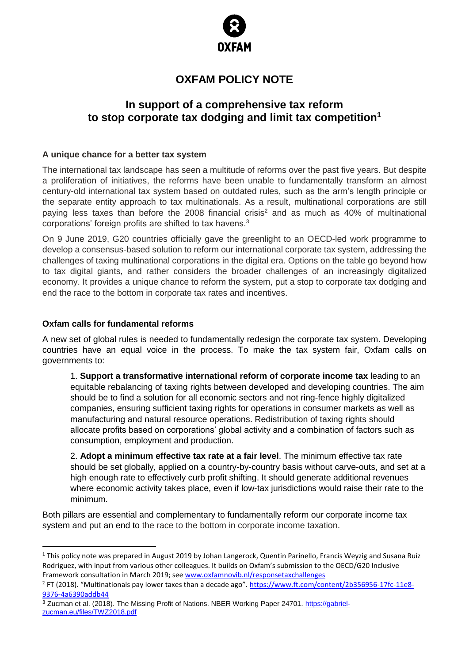

# **OXFAM POLICY NOTE**

# **In support of a comprehensive tax reform to stop corporate tax dodging and limit tax competition<sup>1</sup>**

#### **A unique chance for a better tax system**

The international tax landscape has seen a multitude of reforms over the past five years. But despite a proliferation of initiatives, the reforms have been unable to fundamentally transform an almost century-old international tax system based on outdated rules, such as the arm's length principle or the separate entity approach to tax multinationals. As a result, multinational corporations are still paying less taxes than before the 2008 financial crisis<sup>2</sup> and as much as 40% of multinational corporations' foreign profits are shifted to tax havens.<sup>3</sup>

On 9 June 2019, G20 countries officially gave the greenlight to an OECD-led work programme to develop a consensus-based solution to reform our international corporate tax system, addressing the challenges of taxing multinational corporations in the digital era. Options on the table go beyond how to tax digital giants, and rather considers the broader challenges of an increasingly digitalized economy. It provides a unique chance to reform the system, put a stop to corporate tax dodging and end the race to the bottom in corporate tax rates and incentives.

#### **Oxfam calls for fundamental reforms**

A new set of global rules is needed to fundamentally redesign the corporate tax system. Developing countries have an equal voice in the process. To make the tax system fair, Oxfam calls on governments to:

1. **Support a transformative international reform of corporate income tax** leading to an equitable rebalancing of taxing rights between developed and developing countries. The aim should be to find a solution for all economic sectors and not ring-fence highly digitalized companies, ensuring sufficient taxing rights for operations in consumer markets as well as manufacturing and natural resource operations. Redistribution of taxing rights should allocate profits based on corporations' global activity and a combination of factors such as consumption, employment and production.

2. **Adopt a minimum effective tax rate at a fair level**. The minimum effective tax rate should be set globally, applied on a country-by-country basis without carve-outs, and set at a high enough rate to effectively curb profit shifting. It should generate additional revenues where economic activity takes place, even if low-tax jurisdictions would raise their rate to the minimum.

Both pillars are essential and complementary to fundamentally reform our corporate income tax system and put an end to the race to the bottom in corporate income taxation.

<sup>&</sup>lt;sup>1</sup> This policy note was prepared in August 2019 by Johan Langerock, Quentin Parinello, Francis Weyzig and Susana Ruíz Rodriguez, with input from various other colleagues. It builds on Oxfam's submission to the OECD/G20 Inclusive Framework consultation in March 2019; see [www.oxfamnovib.nl/responsetaxchallenges](http://www.oxfamnovib.nl/responsetaxchallenges)

<sup>&</sup>lt;sup>2</sup> FT (2018). "Multinationals pay lower taxes than a decade ago". [https://www.ft.com/content/2b356956-17fc-11e8-](https://www.ft.com/content/2b356956-17fc-11e8-9376-4a6390addb44) [9376-4a6390addb44](https://www.ft.com/content/2b356956-17fc-11e8-9376-4a6390addb44)

<sup>&</sup>lt;sup>3</sup> Zucman et al. (2018). The Missing Profit of Nations. NBER Working Paper 24701. [https://gabriel](https://gabriel-zucman.eu/files/TWZ2018.pdf)[zucman.eu/files/TWZ2018.pdf](https://gabriel-zucman.eu/files/TWZ2018.pdf)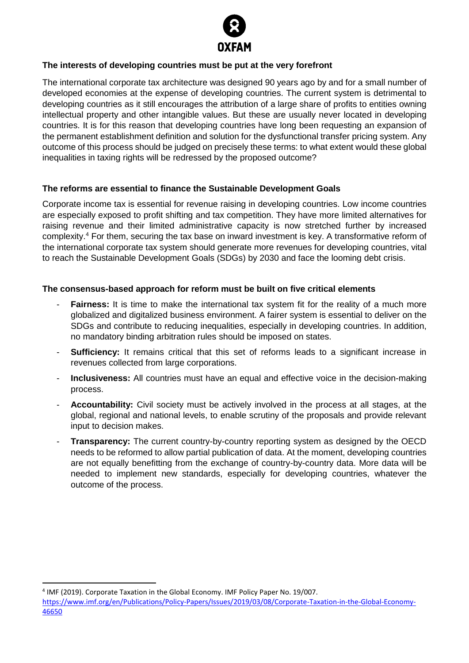

### **The interests of developing countries must be put at the very forefront**

The international corporate tax architecture was designed 90 years ago by and for a small number of developed economies at the expense of developing countries. The current system is detrimental to developing countries as it still encourages the attribution of a large share of profits to entities owning intellectual property and other intangible values. But these are usually never located in developing countries. It is for this reason that developing countries have long been requesting an expansion of the permanent establishment definition and solution for the dysfunctional transfer pricing system. Any outcome of this process should be judged on precisely these terms: to what extent would these global inequalities in taxing rights will be redressed by the proposed outcome?

#### **The reforms are essential to finance the Sustainable Development Goals**

Corporate income tax is essential for revenue raising in developing countries. Low income countries are especially exposed to profit shifting and tax competition. They have more limited alternatives for raising revenue and their limited administrative capacity is now stretched further by increased complexity.<sup>4</sup> For them, securing the tax base on inward investment is key. A transformative reform of the international corporate tax system should generate more revenues for developing countries, vital to reach the Sustainable Development Goals (SDGs) by 2030 and face the looming debt crisis.

## **The consensus-based approach for reform must be built on five critical elements**

- **Fairness:** It is time to make the international tax system fit for the reality of a much more globalized and digitalized business environment. A fairer system is essential to deliver on the SDGs and contribute to reducing inequalities, especially in developing countries. In addition, no mandatory binding arbitration rules should be imposed on states.
- **Sufficiency:** It remains critical that this set of reforms leads to a significant increase in revenues collected from large corporations.
- Inclusiveness: All countries must have an equal and effective voice in the decision-making process.
- Accountability: Civil society must be actively involved in the process at all stages, at the global, regional and national levels, to enable scrutiny of the proposals and provide relevant input to decision makes.
- **Transparency:** The current country-by-country reporting system as designed by the OECD needs to be reformed to allow partial publication of data. At the moment, developing countries are not equally benefitting from the exchange of country-by-country data. More data will be needed to implement new standards, especially for developing countries, whatever the outcome of the process.

<sup>4</sup> IMF (2019). Corporate Taxation in the Global Economy. IMF Policy Paper No. 19/007.

[https://www.imf.org/en/Publications/Policy-Papers/Issues/2019/03/08/Corporate-Taxation-in-the-Global-Economy-](https://www.imf.org/en/Publications/Policy-Papers/Issues/2019/03/08/Corporate-Taxation-in-the-Global-Economy-46650)[46650](https://www.imf.org/en/Publications/Policy-Papers/Issues/2019/03/08/Corporate-Taxation-in-the-Global-Economy-46650)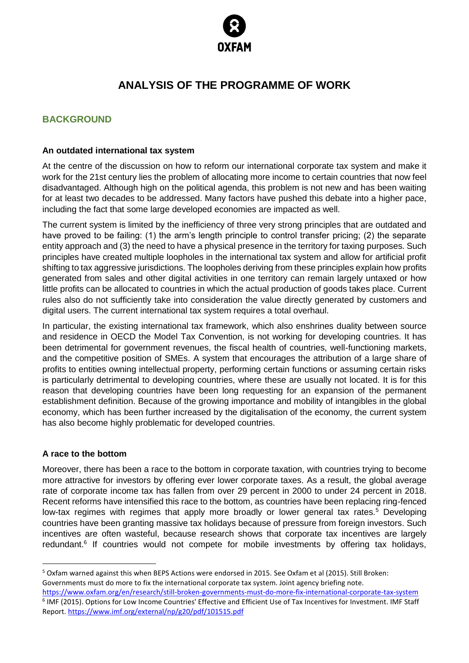

# **ANALYSIS OF THE PROGRAMME OF WORK**

# **BACKGROUND**

#### **An outdated international tax system**

At the centre of the discussion on how to reform our international corporate tax system and make it work for the 21st century lies the problem of allocating more income to certain countries that now feel disadvantaged. Although high on the political agenda, this problem is not new and has been waiting for at least two decades to be addressed. Many factors have pushed this debate into a higher pace, including the fact that some large developed economies are impacted as well.

The current system is limited by the inefficiency of three very strong principles that are outdated and have proved to be failing: (1) the arm's length principle to control transfer pricing; (2) the separate entity approach and (3) the need to have a physical presence in the territory for taxing purposes. Such principles have created multiple loopholes in the international tax system and allow for artificial profit shifting to tax aggressive jurisdictions. The loopholes deriving from these principles explain how profits generated from sales and other digital activities in one territory can remain largely untaxed or how little profits can be allocated to countries in which the actual production of goods takes place. Current rules also do not sufficiently take into consideration the value directly generated by customers and digital users. The current international tax system requires a total overhaul.

In particular, the existing international tax framework, which also enshrines duality between source and residence in OECD the Model Tax Convention, is not working for developing countries. It has been detrimental for government revenues, the fiscal health of countries, well-functioning markets, and the competitive position of SMEs. A system that encourages the attribution of a large share of profits to entities owning intellectual property, performing certain functions or assuming certain risks is particularly detrimental to developing countries, where these are usually not located. It is for this reason that developing countries have been long requesting for an expansion of the permanent establishment definition. Because of the growing importance and mobility of intangibles in the global economy, which has been further increased by the digitalisation of the economy, the current system has also become highly problematic for developed countries.

#### **A race to the bottom**

Moreover, there has been a race to the bottom in corporate taxation, with countries trying to become more attractive for investors by offering ever lower corporate taxes. As a result, the global average rate of corporate income tax has fallen from over 29 percent in 2000 to under 24 percent in 2018. Recent reforms have intensified this race to the bottom, as countries have been replacing ring-fenced low-tax regimes with regimes that apply more broadly or lower general tax rates.<sup>5</sup> Developing countries have been granting massive tax holidays because of pressure from foreign investors. Such incentives are often wasteful, because research shows that corporate tax incentives are largely redundant.<sup>6</sup> If countries would not compete for mobile investments by offering tax holidays,

<sup>5</sup> Oxfam warned against this when BEPS Actions were endorsed in 2015. See Oxfam et al (2015). Still Broken: Governments must do more to fix the international corporate tax system. Joint agency briefing note.

<https://www.oxfam.org/en/research/still-broken-governments-must-do-more-fix-international-corporate-tax-system> <sup>6</sup> IMF (2015). Options for Low Income Countries' Effective and Efficient Use of Tax Incentives for Investment. IMF Staff Report[. https://www.imf.org/external/np/g20/pdf/101515.pdf](https://www.imf.org/external/np/g20/pdf/101515.pdf)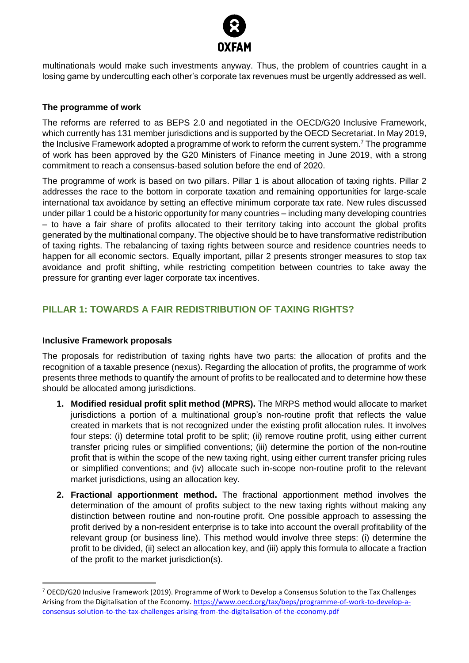

multinationals would make such investments anyway. Thus, the problem of countries caught in a losing game by undercutting each other's corporate tax revenues must be urgently addressed as well.

### **The programme of work**

The reforms are referred to as BEPS 2.0 and negotiated in the OECD/G20 Inclusive Framework, which currently has 131 member jurisdictions and is supported by the OECD Secretariat. In May 2019, the Inclusive Framework adopted a programme of work to reform the current system. <sup>7</sup> The programme of work has been approved by the G20 Ministers of Finance meeting in June 2019, with a strong commitment to reach a consensus-based solution before the end of 2020.

The programme of work is based on two pillars. Pillar 1 is about allocation of taxing rights. Pillar 2 addresses the race to the bottom in corporate taxation and remaining opportunities for large-scale international tax avoidance by setting an effective minimum corporate tax rate. New rules discussed under pillar 1 could be a historic opportunity for many countries – including many developing countries – to have a fair share of profits allocated to their territory taking into account the global profits generated by the multinational company. The objective should be to have transformative redistribution of taxing rights. The rebalancing of taxing rights between source and residence countries needs to happen for all economic sectors. Equally important, pillar 2 presents stronger measures to stop tax avoidance and profit shifting, while restricting competition between countries to take away the pressure for granting ever lager corporate tax incentives.

# **PILLAR 1: TOWARDS A FAIR REDISTRIBUTION OF TAXING RIGHTS?**

#### **Inclusive Framework proposals**

The proposals for redistribution of taxing rights have two parts: the allocation of profits and the recognition of a taxable presence (nexus). Regarding the allocation of profits, the programme of work presents three methods to quantify the amount of profits to be reallocated and to determine how these should be allocated among jurisdictions.

- **1. Modified residual profit split method (MPRS).** The MRPS method would allocate to market jurisdictions a portion of a multinational group's non-routine profit that reflects the value created in markets that is not recognized under the existing profit allocation rules. It involves four steps: (i) determine total profit to be split; (ii) remove routine profit, using either current transfer pricing rules or simplified conventions; (iii) determine the portion of the non-routine profit that is within the scope of the new taxing right, using either current transfer pricing rules or simplified conventions; and (iv) allocate such in-scope non-routine profit to the relevant market jurisdictions, using an allocation key.
- **2. Fractional apportionment method.** The fractional apportionment method involves the determination of the amount of profits subject to the new taxing rights without making any distinction between routine and non-routine profit. One possible approach to assessing the profit derived by a non-resident enterprise is to take into account the overall profitability of the relevant group (or business line). This method would involve three steps: (i) determine the profit to be divided, (ii) select an allocation key, and (iii) apply this formula to allocate a fraction of the profit to the market jurisdiction(s).

<sup>7</sup> OECD/G20 Inclusive Framework (2019). Programme of Work to Develop a Consensus Solution to the Tax Challenges Arising from the Digitalisation of the Economy[. https://www.oecd.org/tax/beps/programme-of-work-to-develop-a](https://www.oecd.org/tax/beps/programme-of-work-to-develop-a-consensus-solution-to-the-tax-challenges-arising-from-the-digitalisation-of-the-economy.pdf)[consensus-solution-to-the-tax-challenges-arising-from-the-digitalisation-of-the-economy.pdf](https://www.oecd.org/tax/beps/programme-of-work-to-develop-a-consensus-solution-to-the-tax-challenges-arising-from-the-digitalisation-of-the-economy.pdf)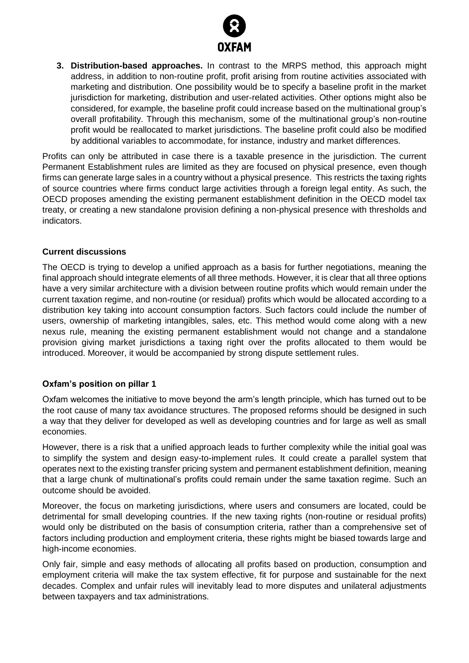

**3. Distribution-based approaches.** In contrast to the MRPS method, this approach might address, in addition to non-routine profit, profit arising from routine activities associated with marketing and distribution. One possibility would be to specify a baseline profit in the market jurisdiction for marketing, distribution and user-related activities. Other options might also be considered, for example, the baseline profit could increase based on the multinational group's overall profitability. Through this mechanism, some of the multinational group's non-routine profit would be reallocated to market jurisdictions. The baseline profit could also be modified by additional variables to accommodate, for instance, industry and market differences.

Profits can only be attributed in case there is a taxable presence in the jurisdiction. The current Permanent Establishment rules are limited as they are focused on physical presence, even though firms can generate large sales in a country without a physical presence. This restricts the taxing rights of source countries where firms conduct large activities through a foreign legal entity. As such, the OECD proposes amending the existing permanent establishment definition in the OECD model tax treaty, or creating a new standalone provision defining a non-physical presence with thresholds and indicators.

## **Current discussions**

The OECD is trying to develop a unified approach as a basis for further negotiations, meaning the final approach should integrate elements of all three methods. However, it is clear that all three options have a very similar architecture with a division between routine profits which would remain under the current taxation regime, and non-routine (or residual) profits which would be allocated according to a distribution key taking into account consumption factors. Such factors could include the number of users, ownership of marketing intangibles, sales, etc. This method would come along with a new nexus rule, meaning the existing permanent establishment would not change and a standalone provision giving market jurisdictions a taxing right over the profits allocated to them would be introduced. Moreover, it would be accompanied by strong dispute settlement rules.

#### **Oxfam's position on pillar 1**

Oxfam welcomes the initiative to move beyond the arm's length principle, which has turned out to be the root cause of many tax avoidance structures. The proposed reforms should be designed in such a way that they deliver for developed as well as developing countries and for large as well as small economies.

However, there is a risk that a unified approach leads to further complexity while the initial goal was to simplify the system and design easy-to-implement rules. It could create a parallel system that operates next to the existing transfer pricing system and permanent establishment definition, meaning that a large chunk of multinational's profits could remain under the same taxation regime. Such an outcome should be avoided.

Moreover, the focus on marketing jurisdictions, where users and consumers are located, could be detrimental for small developing countries. If the new taxing rights (non-routine or residual profits) would only be distributed on the basis of consumption criteria, rather than a comprehensive set of factors including production and employment criteria, these rights might be biased towards large and high-income economies.

Only fair, simple and easy methods of allocating all profits based on production, consumption and employment criteria will make the tax system effective, fit for purpose and sustainable for the next decades. Complex and unfair rules will inevitably lead to more disputes and unilateral adjustments between taxpayers and tax administrations.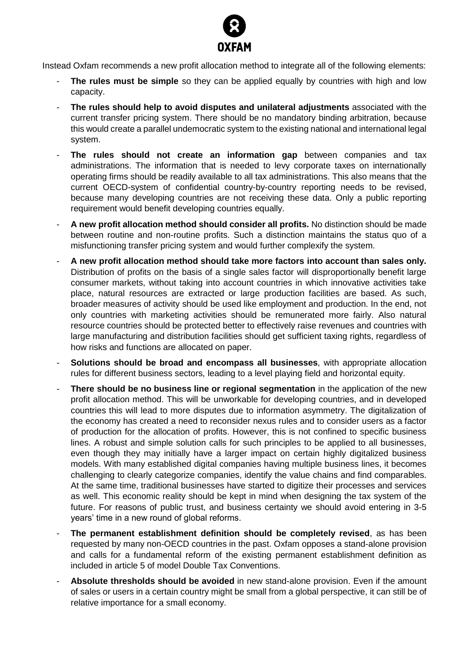

Instead Oxfam recommends a new profit allocation method to integrate all of the following elements:

- **The rules must be simple** so they can be applied equally by countries with high and low capacity.
- **The rules should help to avoid disputes and unilateral adjustments** associated with the current transfer pricing system. There should be no mandatory binding arbitration, because this would create a parallel undemocratic system to the existing national and international legal system.
- **The rules should not create an information gap** between companies and tax administrations. The information that is needed to levy corporate taxes on internationally operating firms should be readily available to all tax administrations. This also means that the current OECD-system of confidential country-by-country reporting needs to be revised, because many developing countries are not receiving these data. Only a public reporting requirement would benefit developing countries equally.
- **A new profit allocation method should consider all profits.** No distinction should be made between routine and non-routine profits. Such a distinction maintains the status quo of a misfunctioning transfer pricing system and would further complexify the system.
- **A new profit allocation method should take more factors into account than sales only.** Distribution of profits on the basis of a single sales factor will disproportionally benefit large consumer markets, without taking into account countries in which innovative activities take place, natural resources are extracted or large production facilities are based. As such, broader measures of activity should be used like employment and production. In the end, not only countries with marketing activities should be remunerated more fairly. Also natural resource countries should be protected better to effectively raise revenues and countries with large manufacturing and distribution facilities should get sufficient taxing rights, regardless of how risks and functions are allocated on paper.
- **Solutions should be broad and encompass all businesses**, with appropriate allocation rules for different business sectors, leading to a level playing field and horizontal equity.
- **There should be no business line or regional segmentation** in the application of the new profit allocation method. This will be unworkable for developing countries, and in developed countries this will lead to more disputes due to information asymmetry. The digitalization of the economy has created a need to reconsider nexus rules and to consider users as a factor of production for the allocation of profits. However, this is not confined to specific business lines. A robust and simple solution calls for such principles to be applied to all businesses, even though they may initially have a larger impact on certain highly digitalized business models. With many established digital companies having multiple business lines, it becomes challenging to clearly categorize companies, identify the value chains and find comparables. At the same time, traditional businesses have started to digitize their processes and services as well. This economic reality should be kept in mind when designing the tax system of the future. For reasons of public trust, and business certainty we should avoid entering in 3-5 years' time in a new round of global reforms.
- The permanent establishment definition should be completely revised, as has been requested by many non-OECD countries in the past. Oxfam opposes a stand-alone provision and calls for a fundamental reform of the existing permanent establishment definition as included in article 5 of model Double Tax Conventions.
- **Absolute thresholds should be avoided** in new stand-alone provision. Even if the amount of sales or users in a certain country might be small from a global perspective, it can still be of relative importance for a small economy.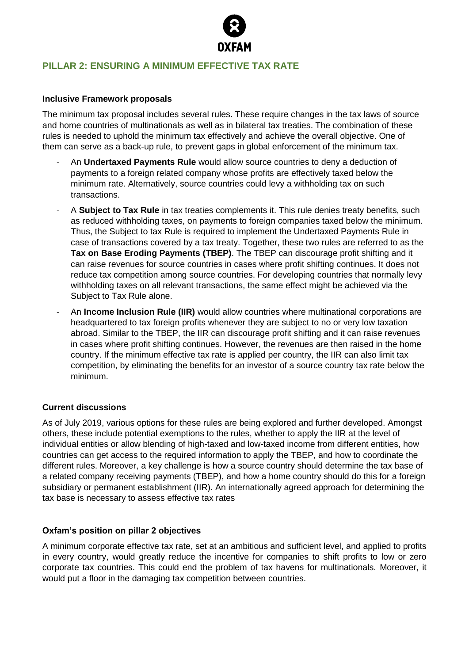

## **PILLAR 2: ENSURING A MINIMUM EFFECTIVE TAX RATE**

#### **Inclusive Framework proposals**

The minimum tax proposal includes several rules. These require changes in the tax laws of source and home countries of multinationals as well as in bilateral tax treaties. The combination of these rules is needed to uphold the minimum tax effectively and achieve the overall objective. One of them can serve as a back-up rule, to prevent gaps in global enforcement of the minimum tax.

- An **Undertaxed Payments Rule** would allow source countries to deny a deduction of payments to a foreign related company whose profits are effectively taxed below the minimum rate. Alternatively, source countries could levy a withholding tax on such transactions.
- A **Subject to Tax Rule** in tax treaties complements it. This rule denies treaty benefits, such as reduced withholding taxes, on payments to foreign companies taxed below the minimum. Thus, the Subject to tax Rule is required to implement the Undertaxed Payments Rule in case of transactions covered by a tax treaty. Together, these two rules are referred to as the **Tax on Base Eroding Payments (TBEP)**. The TBEP can discourage profit shifting and it can raise revenues for source countries in cases where profit shifting continues. It does not reduce tax competition among source countries. For developing countries that normally levy withholding taxes on all relevant transactions, the same effect might be achieved via the Subject to Tax Rule alone.
- An **Income Inclusion Rule (IIR)** would allow countries where multinational corporations are headquartered to tax foreign profits whenever they are subject to no or very low taxation abroad. Similar to the TBEP, the IIR can discourage profit shifting and it can raise revenues in cases where profit shifting continues. However, the revenues are then raised in the home country. If the minimum effective tax rate is applied per country, the IIR can also limit tax competition, by eliminating the benefits for an investor of a source country tax rate below the minimum.

#### **Current discussions**

As of July 2019, various options for these rules are being explored and further developed. Amongst others, these include potential exemptions to the rules, whether to apply the IIR at the level of individual entities or allow blending of high-taxed and low-taxed income from different entities, how countries can get access to the required information to apply the TBEP, and how to coordinate the different rules. Moreover, a key challenge is how a source country should determine the tax base of a related company receiving payments (TBEP), and how a home country should do this for a foreign subsidiary or permanent establishment (IIR). An internationally agreed approach for determining the tax base is necessary to assess effective tax rates

#### **Oxfam's position on pillar 2 objectives**

A minimum corporate effective tax rate, set at an ambitious and sufficient level, and applied to profits in every country, would greatly reduce the incentive for companies to shift profits to low or zero corporate tax countries. This could end the problem of tax havens for multinationals. Moreover, it would put a floor in the damaging tax competition between countries.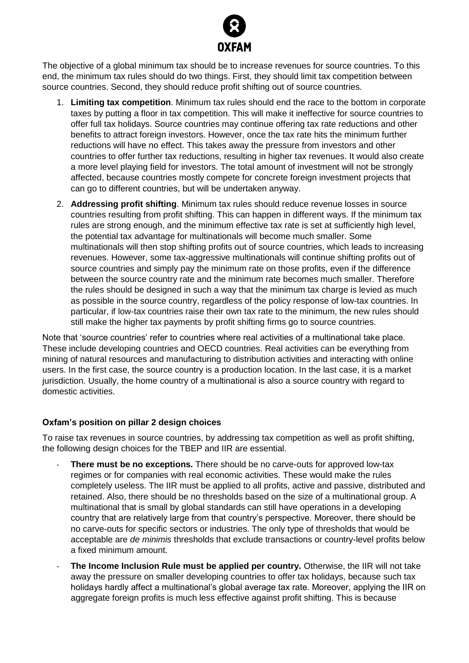

The objective of a global minimum tax should be to increase revenues for source countries. To this end, the minimum tax rules should do two things. First, they should limit tax competition between source countries. Second, they should reduce profit shifting out of source countries.

- 1. **Limiting tax competition**. Minimum tax rules should end the race to the bottom in corporate taxes by putting a floor in tax competition. This will make it ineffective for source countries to offer full tax holidays. Source countries may continue offering tax rate reductions and other benefits to attract foreign investors. However, once the tax rate hits the minimum further reductions will have no effect. This takes away the pressure from investors and other countries to offer further tax reductions, resulting in higher tax revenues. It would also create a more level playing field for investors. The total amount of investment will not be strongly affected, because countries mostly compete for concrete foreign investment projects that can go to different countries, but will be undertaken anyway.
- 2. **Addressing profit shifting**. Minimum tax rules should reduce revenue losses in source countries resulting from profit shifting. This can happen in different ways. If the minimum tax rules are strong enough, and the minimum effective tax rate is set at sufficiently high level, the potential tax advantage for multinationals will become much smaller. Some multinationals will then stop shifting profits out of source countries, which leads to increasing revenues. However, some tax-aggressive multinationals will continue shifting profits out of source countries and simply pay the minimum rate on those profits, even if the difference between the source country rate and the minimum rate becomes much smaller. Therefore the rules should be designed in such a way that the minimum tax charge is levied as much as possible in the source country, regardless of the policy response of low-tax countries. In particular, if low-tax countries raise their own tax rate to the minimum, the new rules should still make the higher tax payments by profit shifting firms go to source countries.

Note that 'source countries' refer to countries where real activities of a multinational take place. These include developing countries and OECD countries. Real activities can be everything from mining of natural resources and manufacturing to distribution activities and interacting with online users. In the first case, the source country is a production location. In the last case, it is a market jurisdiction. Usually, the home country of a multinational is also a source country with regard to domestic activities.

#### **Oxfam's position on pillar 2 design choices**

To raise tax revenues in source countries, by addressing tax competition as well as profit shifting, the following design choices for the TBEP and IIR are essential.

- **There must be no exceptions.** There should be no carve-outs for approved low-tax regimes or for companies with real economic activities. These would make the rules completely useless. The IIR must be applied to all profits, active and passive, distributed and retained. Also, there should be no thresholds based on the size of a multinational group. A multinational that is small by global standards can still have operations in a developing country that are relatively large from that country's perspective. Moreover, there should be no carve-outs for specific sectors or industries. The only type of thresholds that would be acceptable are *de minimis* thresholds that exclude transactions or country-level profits below a fixed minimum amount.
- **The Income Inclusion Rule must be applied per country.** Otherwise, the IIR will not take away the pressure on smaller developing countries to offer tax holidays, because such tax holidays hardly affect a multinational's global average tax rate. Moreover, applying the IIR on aggregate foreign profits is much less effective against profit shifting. This is because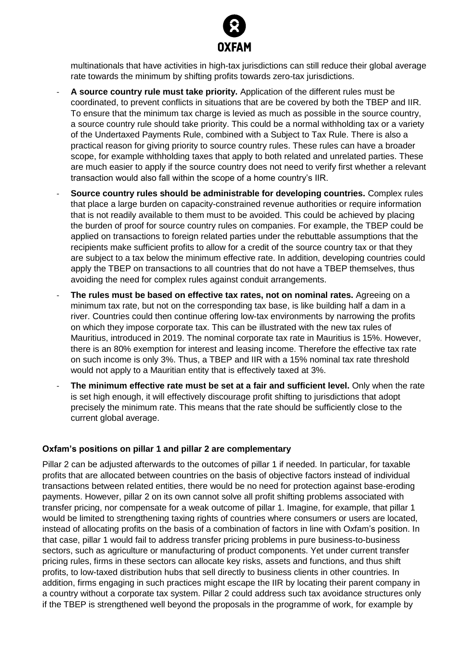

multinationals that have activities in high-tax jurisdictions can still reduce their global average rate towards the minimum by shifting profits towards zero-tax jurisdictions.

- A source country rule must take priority. Application of the different rules must be coordinated, to prevent conflicts in situations that are be covered by both the TBEP and IIR. To ensure that the minimum tax charge is levied as much as possible in the source country, a source country rule should take priority. This could be a normal withholding tax or a variety of the Undertaxed Payments Rule, combined with a Subject to Tax Rule. There is also a practical reason for giving priority to source country rules. These rules can have a broader scope, for example withholding taxes that apply to both related and unrelated parties. These are much easier to apply if the source country does not need to verify first whether a relevant transaction would also fall within the scope of a home country's IIR.
- **Source country rules should be administrable for developing countries.** Complex rules that place a large burden on capacity-constrained revenue authorities or require information that is not readily available to them must to be avoided. This could be achieved by placing the burden of proof for source country rules on companies. For example, the TBEP could be applied on transactions to foreign related parties under the rebuttable assumptions that the recipients make sufficient profits to allow for a credit of the source country tax or that they are subject to a tax below the minimum effective rate. In addition, developing countries could apply the TBEP on transactions to all countries that do not have a TBEP themselves, thus avoiding the need for complex rules against conduit arrangements.
- The rules must be based on effective tax rates, not on nominal rates. Agreeing on a minimum tax rate, but not on the corresponding tax base, is like building half a dam in a river. Countries could then continue offering low-tax environments by narrowing the profits on which they impose corporate tax. This can be illustrated with the new tax rules of Mauritius, introduced in 2019. The nominal corporate tax rate in Mauritius is 15%. However, there is an 80% exemption for interest and leasing income. Therefore the effective tax rate on such income is only 3%. Thus, a TBEP and IIR with a 15% nominal tax rate threshold would not apply to a Mauritian entity that is effectively taxed at 3%.
- **The minimum effective rate must be set at a fair and sufficient level.** Only when the rate is set high enough, it will effectively discourage profit shifting to jurisdictions that adopt precisely the minimum rate. This means that the rate should be sufficiently close to the current global average.

#### **Oxfam's positions on pillar 1 and pillar 2 are complementary**

Pillar 2 can be adjusted afterwards to the outcomes of pillar 1 if needed. In particular, for taxable profits that are allocated between countries on the basis of objective factors instead of individual transactions between related entities, there would be no need for protection against base-eroding payments. However, pillar 2 on its own cannot solve all profit shifting problems associated with transfer pricing, nor compensate for a weak outcome of pillar 1. Imagine, for example, that pillar 1 would be limited to strengthening taxing rights of countries where consumers or users are located, instead of allocating profits on the basis of a combination of factors in line with Oxfam's position. In that case, pillar 1 would fail to address transfer pricing problems in pure business-to-business sectors, such as agriculture or manufacturing of product components. Yet under current transfer pricing rules, firms in these sectors can allocate key risks, assets and functions, and thus shift profits, to low-taxed distribution hubs that sell directly to business clients in other countries. In addition, firms engaging in such practices might escape the IIR by locating their parent company in a country without a corporate tax system. Pillar 2 could address such tax avoidance structures only if the TBEP is strengthened well beyond the proposals in the programme of work, for example by